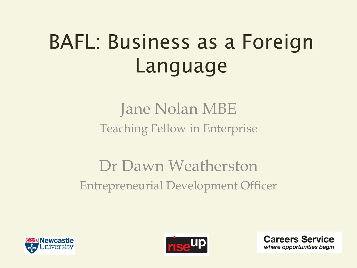## **BAFL: Business as a Foreign** Language

## Jane Nolan MBE Teaching Fellow in Enterprise

## Dr Dawn Weatherston Entrepreneurial Development Officer





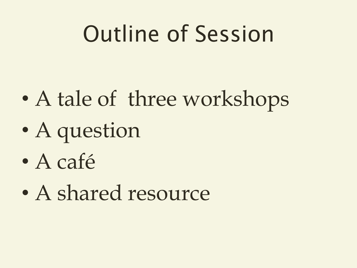## Outline of Session

- A tale of three workshops
- A question
- A café
- A shared resource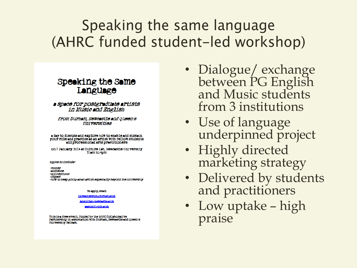### Speaking the same language (AHRC funded student-led workshop)

#### **Speaking the Same** Language

a space for postgraduate artists in Music and English

from Durham, Newcastle and Queen's **Universities** 

a day to discuss and explore how to enable and sustain your role and practice as an artist with fellow students and professional arts practitioners

on 7 January 2014 at Culture Lab. Newcastle University IOam to 4pm

topics to include:

-money -audience -connections -impoct -how to keep going as an artist especially beyond the university

To apply, email

d.e.westherston@durham.sc.uk

**isne no lan @newcastle.c.uk** 

seston0I@qub.ccuk

This is a free event, funded by the AHRC Collaborative Partnership in association with Durham, Newcastle and Queen's **University Belfast** 

- Dialogue/ exchange between PG English and Music students from 3 institutions
- Use of language underpinned project
- Highly directed marketing strategy
- Delivered by students and practitioners
- Low uptake high praise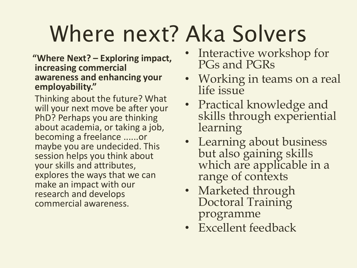# Where next? Aka Solvers

#### **"Where Next? – Exploring impact, increasing commercial awareness and enhancing your employability."**

Thinking about the future? What will your next move be after your PhD? Perhaps you are thinking about academia, or taking a job, becoming a freelance ......or maybe you are undecided. This session helps you think about your skills and attributes, explores the ways that we can make an impact with our research and develops commercial awareness.

- Interactive workshop for PGs and PGRs
- Working in teams on a real life issue
- Practical knowledge and skills through experiential learning
- Learning about business but also gaining skills which are applicable in a range of contexts
- Marketed through Doctoral Training programme
- Excellent feedback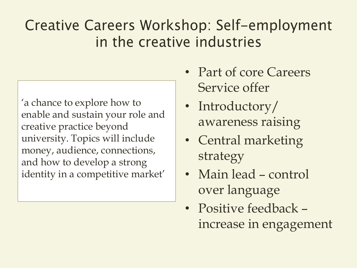## **Creative Careers Workshop: Self-employment** in the creative industries

'a chance to explore how to enable and sustain your role and creative practice beyond university. Topics will include money, audience, connections, and how to develop a strong identity in a competitive market'

- Part of core Careers Service offer
- Introductory/ awareness raising
- Central marketing strategy
- Main lead control over language
- Positive feedback increase in engagement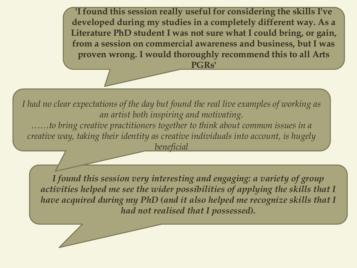**'I found this session really useful for considering the skills I've developed during my studies in a completely different way. As a Literature PhD student I was not sure what I could bring, or gain, from a session on commercial awareness and business, but I was proven wrong. I would thoroughly recommend this to all Arts PGRs'** 

*I had no clear expectations of the day but found the real live examples of working as an artist both inspiring and motivating. ……to bring creative practitioners together to think about common issues in a creative way, taking their identity as creative individuals into account, is hugely beneficial*

*I found this session very interesting and engaging: a variety of group activities helped me see the wider possibilities of applying the skills that I have acquired during my PhD (and it also helped me recognize skills that I had not realised that I possessed).*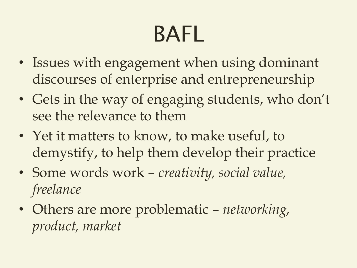# **BAFL**

- Issues with engagement when using dominant discourses of enterprise and entrepreneurship
- Gets in the way of engaging students, who don't see the relevance to them
- Yet it matters to know, to make useful, to demystify, to help them develop their practice
- Some words work *creativity, social value, freelance*
- Others are more problematic *networking, product, market*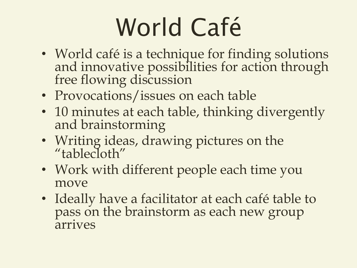# World Café

- World café is a technique for finding solutions and innovative possibilities for action through free flowing discussion
- Provocations/issues on each table
- 10 minutes at each table, thinking divergently and brainstorming
- Writing ideas, drawing pictures on the "tablecloth"
- Work with different people each time you move
- Ideally have a facilitator at each café table to pass on the brainstorm as each new group arrives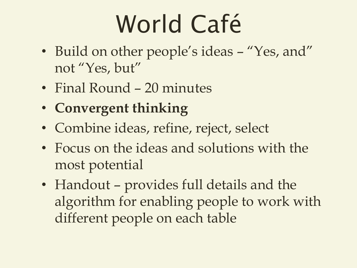# World Café

- Build on other people's ideas "Yes, and" not "Yes, but"
- Final Round 20 minutes
- **Convergent thinking**
- Combine ideas, refine, reject, select
- Focus on the ideas and solutions with the most potential
- Handout provides full details and the algorithm for enabling people to work with different people on each table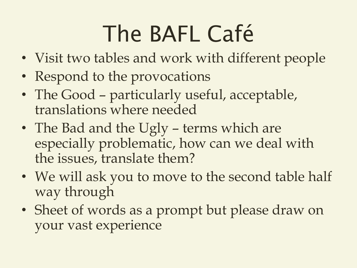# The BAFL Café

- Visit two tables and work with different people
- Respond to the provocations
- The Good particularly useful, acceptable, translations where needed
- The Bad and the Ugly terms which are especially problematic, how can we deal with the issues, translate them?
- We will ask you to move to the second table half way through
- Sheet of words as a prompt but please draw on your vast experience